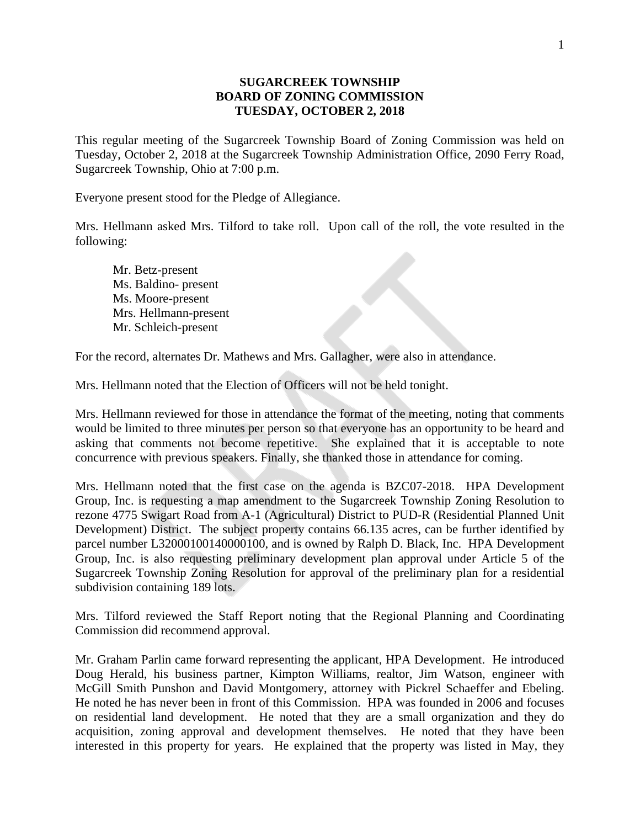## **SUGARCREEK TOWNSHIP BOARD OF ZONING COMMISSION TUESDAY, OCTOBER 2, 2018**

This regular meeting of the Sugarcreek Township Board of Zoning Commission was held on Tuesday, October 2, 2018 at the Sugarcreek Township Administration Office, 2090 Ferry Road, Sugarcreek Township, Ohio at 7:00 p.m.

Everyone present stood for the Pledge of Allegiance.

Mrs. Hellmann asked Mrs. Tilford to take roll. Upon call of the roll, the vote resulted in the following:

Mr. Betz-present Ms. Baldino- present Ms. Moore-present Mrs. Hellmann-present Mr. Schleich-present

For the record, alternates Dr. Mathews and Mrs. Gallagher, were also in attendance.

Mrs. Hellmann noted that the Election of Officers will not be held tonight.

Mrs. Hellmann reviewed for those in attendance the format of the meeting, noting that comments would be limited to three minutes per person so that everyone has an opportunity to be heard and asking that comments not become repetitive. She explained that it is acceptable to note concurrence with previous speakers. Finally, she thanked those in attendance for coming.

Mrs. Hellmann noted that the first case on the agenda is BZC07-2018. HPA Development Group, Inc. is requesting a map amendment to the Sugarcreek Township Zoning Resolution to rezone 4775 Swigart Road from A-1 (Agricultural) District to PUD-R (Residential Planned Unit Development) District. The subject property contains 66.135 acres, can be further identified by parcel number L32000100140000100, and is owned by Ralph D. Black, Inc. HPA Development Group, Inc. is also requesting preliminary development plan approval under Article 5 of the Sugarcreek Township Zoning Resolution for approval of the preliminary plan for a residential subdivision containing 189 lots.

Mrs. Tilford reviewed the Staff Report noting that the Regional Planning and Coordinating Commission did recommend approval.

Mr. Graham Parlin came forward representing the applicant, HPA Development. He introduced Doug Herald, his business partner, Kimpton Williams, realtor, Jim Watson, engineer with McGill Smith Punshon and David Montgomery, attorney with Pickrel Schaeffer and Ebeling. He noted he has never been in front of this Commission. HPA was founded in 2006 and focuses on residential land development. He noted that they are a small organization and they do acquisition, zoning approval and development themselves. He noted that they have been interested in this property for years. He explained that the property was listed in May, they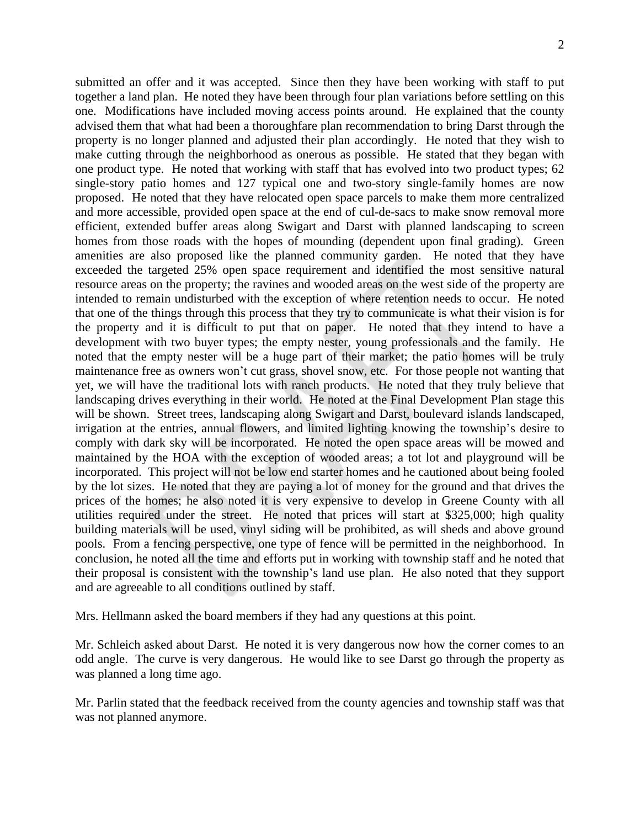submitted an offer and it was accepted. Since then they have been working with staff to put together a land plan. He noted they have been through four plan variations before settling on this one. Modifications have included moving access points around. He explained that the county advised them that what had been a thoroughfare plan recommendation to bring Darst through the property is no longer planned and adjusted their plan accordingly. He noted that they wish to make cutting through the neighborhood as onerous as possible. He stated that they began with one product type. He noted that working with staff that has evolved into two product types; 62 single-story patio homes and 127 typical one and two-story single-family homes are now proposed. He noted that they have relocated open space parcels to make them more centralized and more accessible, provided open space at the end of cul-de-sacs to make snow removal more efficient, extended buffer areas along Swigart and Darst with planned landscaping to screen homes from those roads with the hopes of mounding (dependent upon final grading). Green amenities are also proposed like the planned community garden. He noted that they have exceeded the targeted 25% open space requirement and identified the most sensitive natural resource areas on the property; the ravines and wooded areas on the west side of the property are intended to remain undisturbed with the exception of where retention needs to occur. He noted that one of the things through this process that they try to communicate is what their vision is for the property and it is difficult to put that on paper. He noted that they intend to have a development with two buyer types; the empty nester, young professionals and the family. He noted that the empty nester will be a huge part of their market; the patio homes will be truly maintenance free as owners won't cut grass, shovel snow, etc. For those people not wanting that yet, we will have the traditional lots with ranch products. He noted that they truly believe that landscaping drives everything in their world. He noted at the Final Development Plan stage this will be shown. Street trees, landscaping along Swigart and Darst, boulevard islands landscaped, irrigation at the entries, annual flowers, and limited lighting knowing the township's desire to comply with dark sky will be incorporated. He noted the open space areas will be mowed and maintained by the HOA with the exception of wooded areas; a tot lot and playground will be incorporated. This project will not be low end starter homes and he cautioned about being fooled by the lot sizes. He noted that they are paying a lot of money for the ground and that drives the prices of the homes; he also noted it is very expensive to develop in Greene County with all utilities required under the street. He noted that prices will start at \$325,000; high quality building materials will be used, vinyl siding will be prohibited, as will sheds and above ground pools. From a fencing perspective, one type of fence will be permitted in the neighborhood. In conclusion, he noted all the time and efforts put in working with township staff and he noted that their proposal is consistent with the township's land use plan. He also noted that they support and are agreeable to all conditions outlined by staff.

Mrs. Hellmann asked the board members if they had any questions at this point.

Mr. Schleich asked about Darst. He noted it is very dangerous now how the corner comes to an odd angle. The curve is very dangerous. He would like to see Darst go through the property as was planned a long time ago.

Mr. Parlin stated that the feedback received from the county agencies and township staff was that was not planned anymore.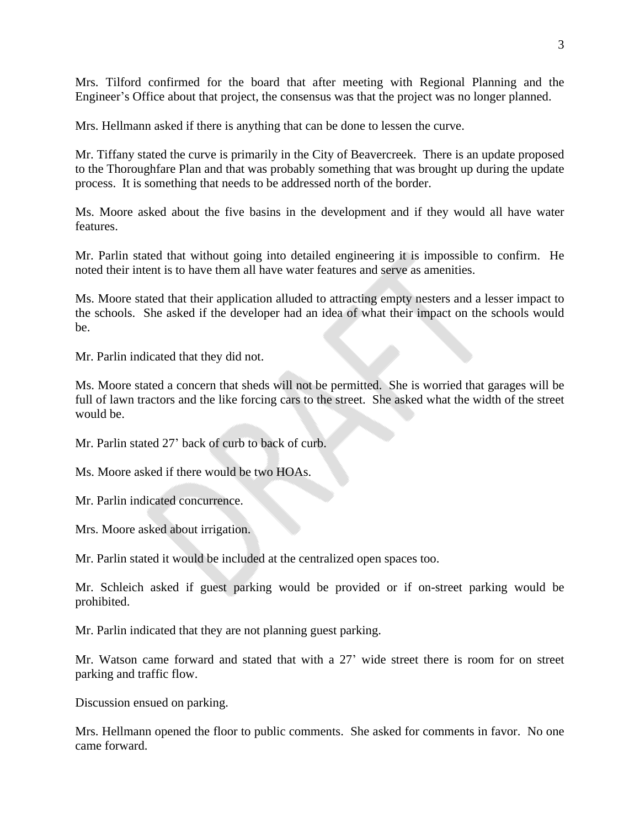Mrs. Tilford confirmed for the board that after meeting with Regional Planning and the Engineer's Office about that project, the consensus was that the project was no longer planned.

Mrs. Hellmann asked if there is anything that can be done to lessen the curve.

Mr. Tiffany stated the curve is primarily in the City of Beavercreek. There is an update proposed to the Thoroughfare Plan and that was probably something that was brought up during the update process. It is something that needs to be addressed north of the border.

Ms. Moore asked about the five basins in the development and if they would all have water features.

Mr. Parlin stated that without going into detailed engineering it is impossible to confirm. He noted their intent is to have them all have water features and serve as amenities.

Ms. Moore stated that their application alluded to attracting empty nesters and a lesser impact to the schools. She asked if the developer had an idea of what their impact on the schools would be.

Mr. Parlin indicated that they did not.

Ms. Moore stated a concern that sheds will not be permitted. She is worried that garages will be full of lawn tractors and the like forcing cars to the street. She asked what the width of the street would be.

Mr. Parlin stated 27' back of curb to back of curb.

Ms. Moore asked if there would be two HOAs.

Mr. Parlin indicated concurrence.

Mrs. Moore asked about irrigation.

Mr. Parlin stated it would be included at the centralized open spaces too.

Mr. Schleich asked if guest parking would be provided or if on-street parking would be prohibited.

Mr. Parlin indicated that they are not planning guest parking.

Mr. Watson came forward and stated that with a 27' wide street there is room for on street parking and traffic flow.

Discussion ensued on parking.

Mrs. Hellmann opened the floor to public comments. She asked for comments in favor. No one came forward.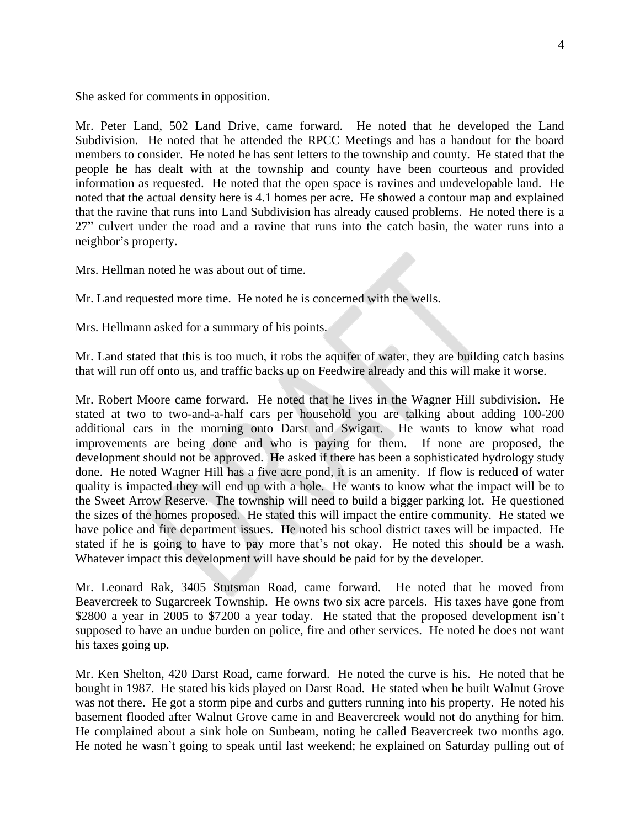She asked for comments in opposition.

Mr. Peter Land, 502 Land Drive, came forward. He noted that he developed the Land Subdivision. He noted that he attended the RPCC Meetings and has a handout for the board members to consider. He noted he has sent letters to the township and county. He stated that the people he has dealt with at the township and county have been courteous and provided information as requested. He noted that the open space is ravines and undevelopable land. He noted that the actual density here is 4.1 homes per acre. He showed a contour map and explained that the ravine that runs into Land Subdivision has already caused problems. He noted there is a 27" culvert under the road and a ravine that runs into the catch basin, the water runs into a neighbor's property.

Mrs. Hellman noted he was about out of time.

Mr. Land requested more time. He noted he is concerned with the wells.

Mrs. Hellmann asked for a summary of his points.

Mr. Land stated that this is too much, it robs the aquifer of water, they are building catch basins that will run off onto us, and traffic backs up on Feedwire already and this will make it worse.

Mr. Robert Moore came forward. He noted that he lives in the Wagner Hill subdivision. He stated at two to two-and-a-half cars per household you are talking about adding 100-200 additional cars in the morning onto Darst and Swigart. He wants to know what road improvements are being done and who is paying for them. If none are proposed, the development should not be approved. He asked if there has been a sophisticated hydrology study done. He noted Wagner Hill has a five acre pond, it is an amenity. If flow is reduced of water quality is impacted they will end up with a hole. He wants to know what the impact will be to the Sweet Arrow Reserve. The township will need to build a bigger parking lot. He questioned the sizes of the homes proposed. He stated this will impact the entire community. He stated we have police and fire department issues. He noted his school district taxes will be impacted. He stated if he is going to have to pay more that's not okay. He noted this should be a wash. Whatever impact this development will have should be paid for by the developer.

Mr. Leonard Rak, 3405 Stutsman Road, came forward. He noted that he moved from Beavercreek to Sugarcreek Township. He owns two six acre parcels. His taxes have gone from \$2800 a year in 2005 to \$7200 a year today. He stated that the proposed development isn't supposed to have an undue burden on police, fire and other services. He noted he does not want his taxes going up.

Mr. Ken Shelton, 420 Darst Road, came forward. He noted the curve is his. He noted that he bought in 1987. He stated his kids played on Darst Road. He stated when he built Walnut Grove was not there. He got a storm pipe and curbs and gutters running into his property. He noted his basement flooded after Walnut Grove came in and Beavercreek would not do anything for him. He complained about a sink hole on Sunbeam, noting he called Beavercreek two months ago. He noted he wasn't going to speak until last weekend; he explained on Saturday pulling out of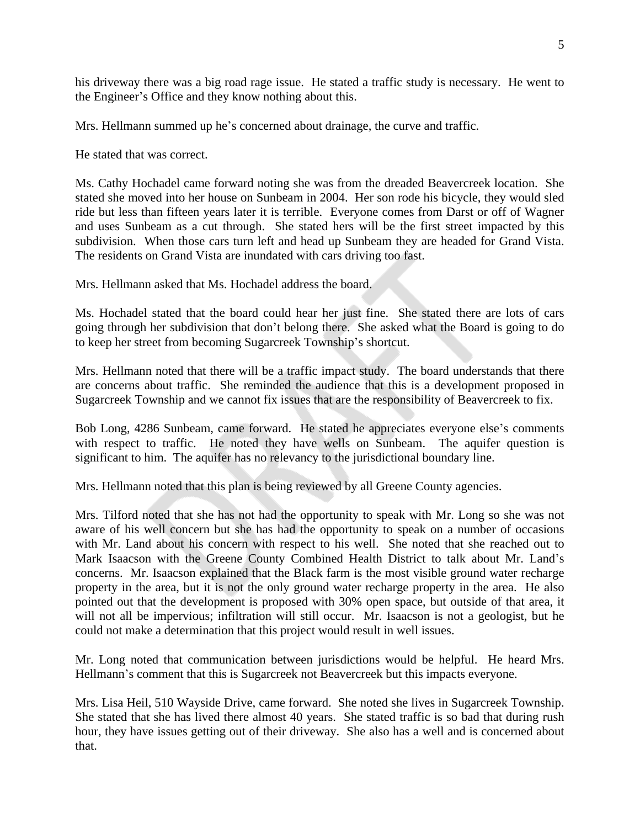his driveway there was a big road rage issue. He stated a traffic study is necessary. He went to the Engineer's Office and they know nothing about this.

Mrs. Hellmann summed up he's concerned about drainage, the curve and traffic.

He stated that was correct.

Ms. Cathy Hochadel came forward noting she was from the dreaded Beavercreek location. She stated she moved into her house on Sunbeam in 2004. Her son rode his bicycle, they would sled ride but less than fifteen years later it is terrible. Everyone comes from Darst or off of Wagner and uses Sunbeam as a cut through. She stated hers will be the first street impacted by this subdivision. When those cars turn left and head up Sunbeam they are headed for Grand Vista. The residents on Grand Vista are inundated with cars driving too fast.

Mrs. Hellmann asked that Ms. Hochadel address the board.

Ms. Hochadel stated that the board could hear her just fine. She stated there are lots of cars going through her subdivision that don't belong there. She asked what the Board is going to do to keep her street from becoming Sugarcreek Township's shortcut.

Mrs. Hellmann noted that there will be a traffic impact study. The board understands that there are concerns about traffic. She reminded the audience that this is a development proposed in Sugarcreek Township and we cannot fix issues that are the responsibility of Beavercreek to fix.

Bob Long, 4286 Sunbeam, came forward. He stated he appreciates everyone else's comments with respect to traffic. He noted they have wells on Sunbeam. The aquifer question is significant to him. The aquifer has no relevancy to the jurisdictional boundary line.

Mrs. Hellmann noted that this plan is being reviewed by all Greene County agencies.

Mrs. Tilford noted that she has not had the opportunity to speak with Mr. Long so she was not aware of his well concern but she has had the opportunity to speak on a number of occasions with Mr. Land about his concern with respect to his well. She noted that she reached out to Mark Isaacson with the Greene County Combined Health District to talk about Mr. Land's concerns. Mr. Isaacson explained that the Black farm is the most visible ground water recharge property in the area, but it is not the only ground water recharge property in the area. He also pointed out that the development is proposed with 30% open space, but outside of that area, it will not all be impervious; infiltration will still occur. Mr. Isaacson is not a geologist, but he could not make a determination that this project would result in well issues.

Mr. Long noted that communication between jurisdictions would be helpful. He heard Mrs. Hellmann's comment that this is Sugarcreek not Beavercreek but this impacts everyone.

Mrs. Lisa Heil, 510 Wayside Drive, came forward. She noted she lives in Sugarcreek Township. She stated that she has lived there almost 40 years. She stated traffic is so bad that during rush hour, they have issues getting out of their driveway. She also has a well and is concerned about that.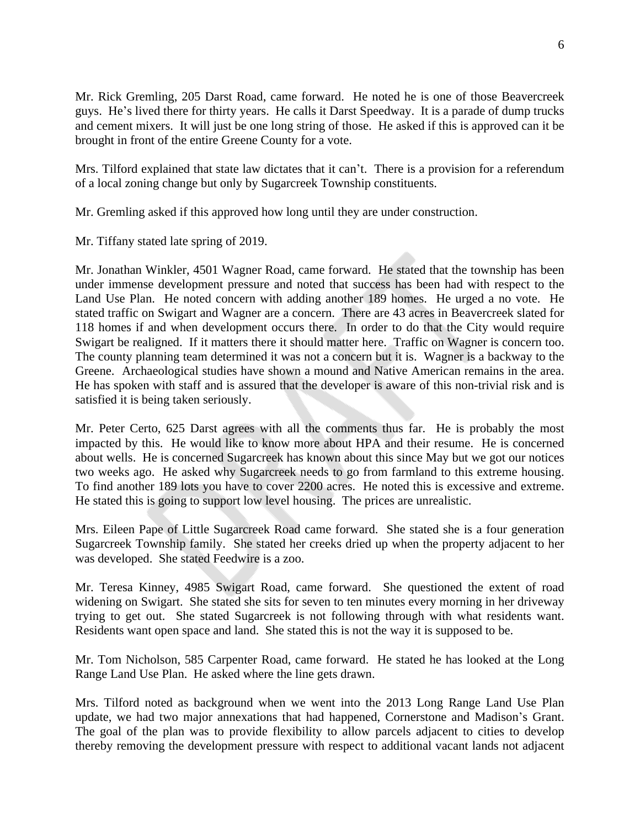Mr. Rick Gremling, 205 Darst Road, came forward. He noted he is one of those Beavercreek guys. He's lived there for thirty years. He calls it Darst Speedway. It is a parade of dump trucks and cement mixers. It will just be one long string of those. He asked if this is approved can it be brought in front of the entire Greene County for a vote.

Mrs. Tilford explained that state law dictates that it can't. There is a provision for a referendum of a local zoning change but only by Sugarcreek Township constituents.

Mr. Gremling asked if this approved how long until they are under construction.

Mr. Tiffany stated late spring of 2019.

Mr. Jonathan Winkler, 4501 Wagner Road, came forward. He stated that the township has been under immense development pressure and noted that success has been had with respect to the Land Use Plan. He noted concern with adding another 189 homes. He urged a no vote. He stated traffic on Swigart and Wagner are a concern. There are 43 acres in Beavercreek slated for 118 homes if and when development occurs there. In order to do that the City would require Swigart be realigned. If it matters there it should matter here. Traffic on Wagner is concern too. The county planning team determined it was not a concern but it is. Wagner is a backway to the Greene. Archaeological studies have shown a mound and Native American remains in the area. He has spoken with staff and is assured that the developer is aware of this non-trivial risk and is satisfied it is being taken seriously.

Mr. Peter Certo, 625 Darst agrees with all the comments thus far. He is probably the most impacted by this. He would like to know more about HPA and their resume. He is concerned about wells. He is concerned Sugarcreek has known about this since May but we got our notices two weeks ago. He asked why Sugarcreek needs to go from farmland to this extreme housing. To find another 189 lots you have to cover 2200 acres. He noted this is excessive and extreme. He stated this is going to support low level housing. The prices are unrealistic.

Mrs. Eileen Pape of Little Sugarcreek Road came forward. She stated she is a four generation Sugarcreek Township family. She stated her creeks dried up when the property adjacent to her was developed. She stated Feedwire is a zoo.

Mr. Teresa Kinney, 4985 Swigart Road, came forward. She questioned the extent of road widening on Swigart. She stated she sits for seven to ten minutes every morning in her driveway trying to get out. She stated Sugarcreek is not following through with what residents want. Residents want open space and land. She stated this is not the way it is supposed to be.

Mr. Tom Nicholson, 585 Carpenter Road, came forward. He stated he has looked at the Long Range Land Use Plan. He asked where the line gets drawn.

Mrs. Tilford noted as background when we went into the 2013 Long Range Land Use Plan update, we had two major annexations that had happened, Cornerstone and Madison's Grant. The goal of the plan was to provide flexibility to allow parcels adjacent to cities to develop thereby removing the development pressure with respect to additional vacant lands not adjacent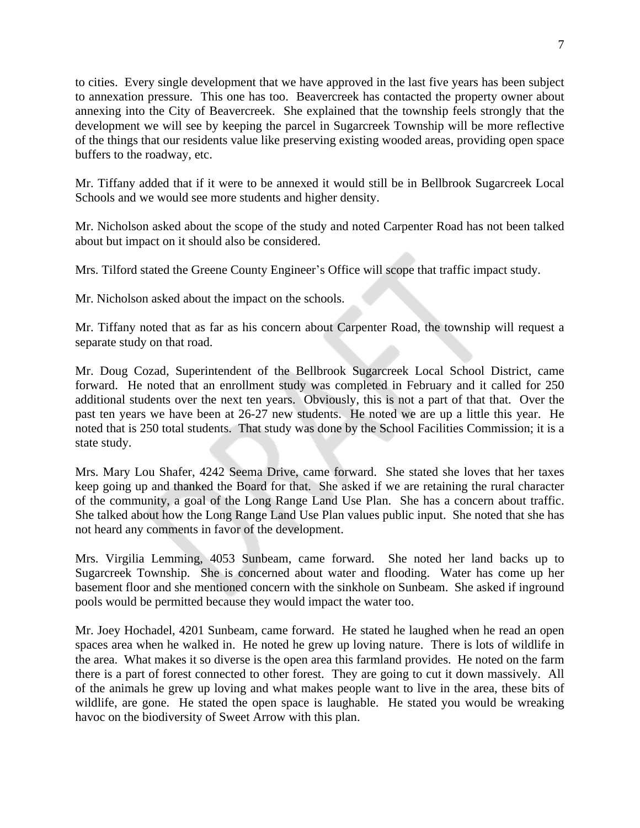to cities. Every single development that we have approved in the last five years has been subject to annexation pressure. This one has too. Beavercreek has contacted the property owner about annexing into the City of Beavercreek. She explained that the township feels strongly that the development we will see by keeping the parcel in Sugarcreek Township will be more reflective of the things that our residents value like preserving existing wooded areas, providing open space buffers to the roadway, etc.

Mr. Tiffany added that if it were to be annexed it would still be in Bellbrook Sugarcreek Local Schools and we would see more students and higher density.

Mr. Nicholson asked about the scope of the study and noted Carpenter Road has not been talked about but impact on it should also be considered.

Mrs. Tilford stated the Greene County Engineer's Office will scope that traffic impact study.

Mr. Nicholson asked about the impact on the schools.

Mr. Tiffany noted that as far as his concern about Carpenter Road, the township will request a separate study on that road.

Mr. Doug Cozad, Superintendent of the Bellbrook Sugarcreek Local School District, came forward. He noted that an enrollment study was completed in February and it called for 250 additional students over the next ten years. Obviously, this is not a part of that that. Over the past ten years we have been at 26-27 new students. He noted we are up a little this year. He noted that is 250 total students. That study was done by the School Facilities Commission; it is a state study.

Mrs. Mary Lou Shafer, 4242 Seema Drive, came forward. She stated she loves that her taxes keep going up and thanked the Board for that. She asked if we are retaining the rural character of the community, a goal of the Long Range Land Use Plan. She has a concern about traffic. She talked about how the Long Range Land Use Plan values public input. She noted that she has not heard any comments in favor of the development.

Mrs. Virgilia Lemming, 4053 Sunbeam, came forward. She noted her land backs up to Sugarcreek Township. She is concerned about water and flooding. Water has come up her basement floor and she mentioned concern with the sinkhole on Sunbeam. She asked if inground pools would be permitted because they would impact the water too.

Mr. Joey Hochadel, 4201 Sunbeam, came forward. He stated he laughed when he read an open spaces area when he walked in. He noted he grew up loving nature. There is lots of wildlife in the area. What makes it so diverse is the open area this farmland provides. He noted on the farm there is a part of forest connected to other forest. They are going to cut it down massively. All of the animals he grew up loving and what makes people want to live in the area, these bits of wildlife, are gone. He stated the open space is laughable. He stated you would be wreaking havoc on the biodiversity of Sweet Arrow with this plan.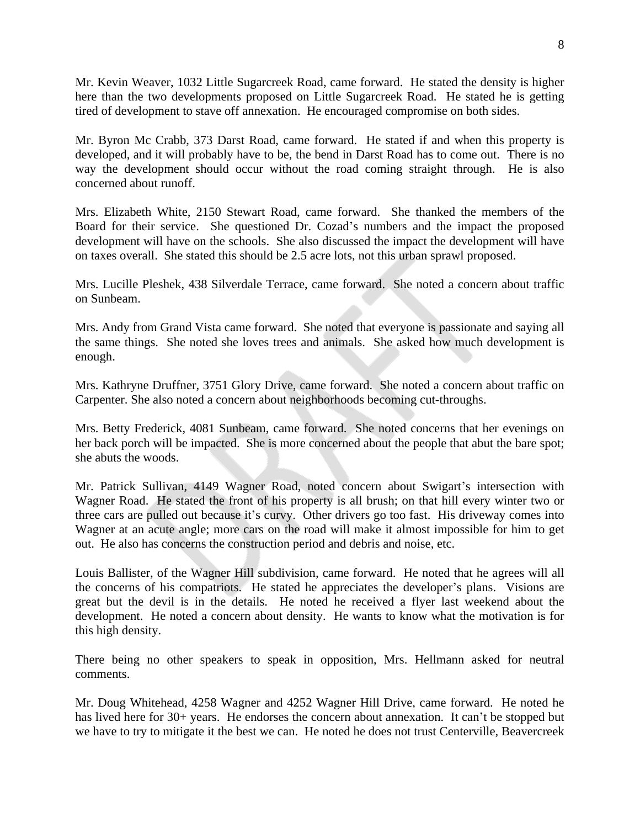Mr. Kevin Weaver, 1032 Little Sugarcreek Road, came forward. He stated the density is higher here than the two developments proposed on Little Sugarcreek Road. He stated he is getting tired of development to stave off annexation. He encouraged compromise on both sides.

Mr. Byron Mc Crabb, 373 Darst Road, came forward. He stated if and when this property is developed, and it will probably have to be, the bend in Darst Road has to come out. There is no way the development should occur without the road coming straight through. He is also concerned about runoff.

Mrs. Elizabeth White, 2150 Stewart Road, came forward. She thanked the members of the Board for their service. She questioned Dr. Cozad's numbers and the impact the proposed development will have on the schools. She also discussed the impact the development will have on taxes overall. She stated this should be 2.5 acre lots, not this urban sprawl proposed.

Mrs. Lucille Pleshek, 438 Silverdale Terrace, came forward. She noted a concern about traffic on Sunbeam.

Mrs. Andy from Grand Vista came forward. She noted that everyone is passionate and saying all the same things. She noted she loves trees and animals. She asked how much development is enough.

Mrs. Kathryne Druffner, 3751 Glory Drive, came forward. She noted a concern about traffic on Carpenter. She also noted a concern about neighborhoods becoming cut-throughs.

Mrs. Betty Frederick, 4081 Sunbeam, came forward. She noted concerns that her evenings on her back porch will be impacted. She is more concerned about the people that abut the bare spot; she abuts the woods.

Mr. Patrick Sullivan, 4149 Wagner Road, noted concern about Swigart's intersection with Wagner Road. He stated the front of his property is all brush; on that hill every winter two or three cars are pulled out because it's curvy. Other drivers go too fast. His driveway comes into Wagner at an acute angle; more cars on the road will make it almost impossible for him to get out. He also has concerns the construction period and debris and noise, etc.

Louis Ballister, of the Wagner Hill subdivision, came forward. He noted that he agrees will all the concerns of his compatriots. He stated he appreciates the developer's plans. Visions are great but the devil is in the details. He noted he received a flyer last weekend about the development. He noted a concern about density. He wants to know what the motivation is for this high density.

There being no other speakers to speak in opposition, Mrs. Hellmann asked for neutral comments.

Mr. Doug Whitehead, 4258 Wagner and 4252 Wagner Hill Drive, came forward. He noted he has lived here for 30+ years. He endorses the concern about annexation. It can't be stopped but we have to try to mitigate it the best we can. He noted he does not trust Centerville, Beavercreek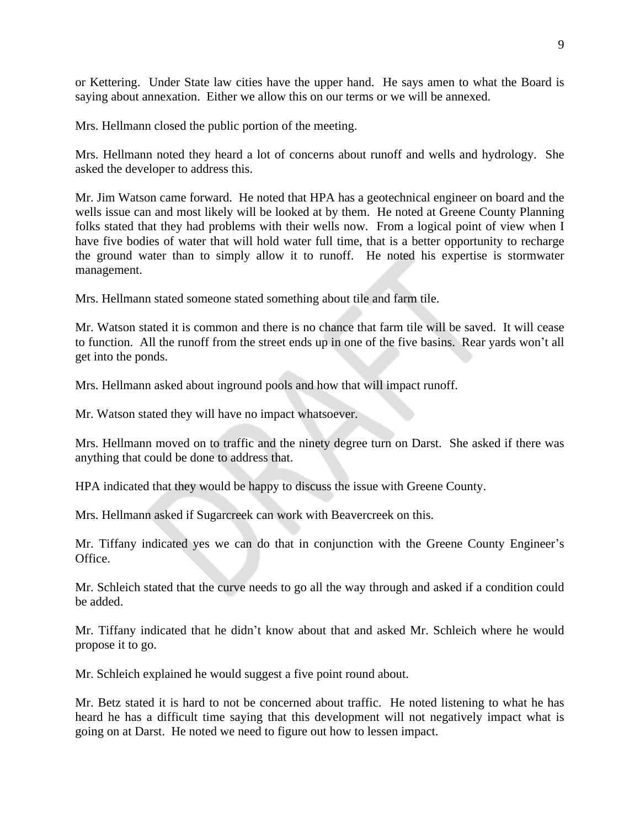or Kettering. Under State law cities have the upper hand. He says amen to what the Board is saying about annexation. Either we allow this on our terms or we will be annexed.

Mrs. Hellmann closed the public portion of the meeting.

Mrs. Hellmann noted they heard a lot of concerns about runoff and wells and hydrology. She asked the developer to address this.

Mr. Jim Watson came forward. He noted that HPA has a geotechnical engineer on board and the wells issue can and most likely will be looked at by them. He noted at Greene County Planning folks stated that they had problems with their wells now. From a logical point of view when I have five bodies of water that will hold water full time, that is a better opportunity to recharge the ground water than to simply allow it to runoff. He noted his expertise is stormwater management.

Mrs. Hellmann stated someone stated something about tile and farm tile.

Mr. Watson stated it is common and there is no chance that farm tile will be saved. It will cease to function. All the runoff from the street ends up in one of the five basins. Rear yards won't all get into the ponds.

Mrs. Hellmann asked about inground pools and how that will impact runoff.

Mr. Watson stated they will have no impact whatsoever.

Mrs. Hellmann moved on to traffic and the ninety degree turn on Darst. She asked if there was anything that could be done to address that.

HPA indicated that they would be happy to discuss the issue with Greene County.

Mrs. Hellmann asked if Sugarcreek can work with Beavercreek on this.

Mr. Tiffany indicated yes we can do that in conjunction with the Greene County Engineer's Office.

Mr. Schleich stated that the curve needs to go all the way through and asked if a condition could be added.

Mr. Tiffany indicated that he didn't know about that and asked Mr. Schleich where he would propose it to go.

Mr. Schleich explained he would suggest a five point round about.

Mr. Betz stated it is hard to not be concerned about traffic. He noted listening to what he has heard he has a difficult time saying that this development will not negatively impact what is going on at Darst. He noted we need to figure out how to lessen impact.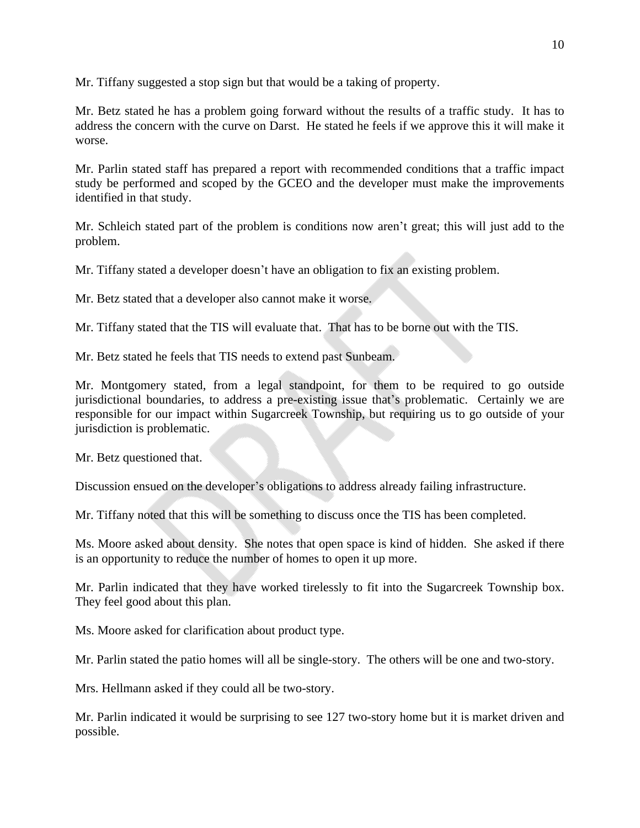Mr. Tiffany suggested a stop sign but that would be a taking of property.

Mr. Betz stated he has a problem going forward without the results of a traffic study. It has to address the concern with the curve on Darst. He stated he feels if we approve this it will make it worse.

Mr. Parlin stated staff has prepared a report with recommended conditions that a traffic impact study be performed and scoped by the GCEO and the developer must make the improvements identified in that study.

Mr. Schleich stated part of the problem is conditions now aren't great; this will just add to the problem.

Mr. Tiffany stated a developer doesn't have an obligation to fix an existing problem.

Mr. Betz stated that a developer also cannot make it worse.

Mr. Tiffany stated that the TIS will evaluate that. That has to be borne out with the TIS.

Mr. Betz stated he feels that TIS needs to extend past Sunbeam.

Mr. Montgomery stated, from a legal standpoint, for them to be required to go outside jurisdictional boundaries, to address a pre-existing issue that's problematic. Certainly we are responsible for our impact within Sugarcreek Township, but requiring us to go outside of your jurisdiction is problematic.

Mr. Betz questioned that.

Discussion ensued on the developer's obligations to address already failing infrastructure.

Mr. Tiffany noted that this will be something to discuss once the TIS has been completed.

Ms. Moore asked about density. She notes that open space is kind of hidden. She asked if there is an opportunity to reduce the number of homes to open it up more.

Mr. Parlin indicated that they have worked tirelessly to fit into the Sugarcreek Township box. They feel good about this plan.

Ms. Moore asked for clarification about product type.

Mr. Parlin stated the patio homes will all be single-story. The others will be one and two-story.

Mrs. Hellmann asked if they could all be two-story.

Mr. Parlin indicated it would be surprising to see 127 two-story home but it is market driven and possible.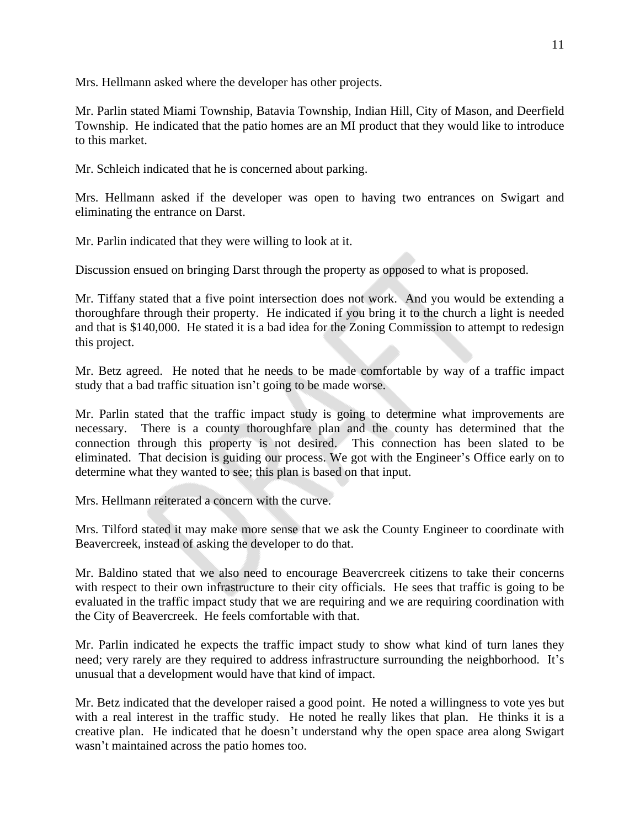Mrs. Hellmann asked where the developer has other projects.

Mr. Parlin stated Miami Township, Batavia Township, Indian Hill, City of Mason, and Deerfield Township. He indicated that the patio homes are an MI product that they would like to introduce to this market.

Mr. Schleich indicated that he is concerned about parking.

Mrs. Hellmann asked if the developer was open to having two entrances on Swigart and eliminating the entrance on Darst.

Mr. Parlin indicated that they were willing to look at it.

Discussion ensued on bringing Darst through the property as opposed to what is proposed.

Mr. Tiffany stated that a five point intersection does not work. And you would be extending a thoroughfare through their property. He indicated if you bring it to the church a light is needed and that is \$140,000. He stated it is a bad idea for the Zoning Commission to attempt to redesign this project.

Mr. Betz agreed. He noted that he needs to be made comfortable by way of a traffic impact study that a bad traffic situation isn't going to be made worse.

Mr. Parlin stated that the traffic impact study is going to determine what improvements are necessary. There is a county thoroughfare plan and the county has determined that the connection through this property is not desired. This connection has been slated to be eliminated. That decision is guiding our process. We got with the Engineer's Office early on to determine what they wanted to see; this plan is based on that input.

Mrs. Hellmann reiterated a concern with the curve.

Mrs. Tilford stated it may make more sense that we ask the County Engineer to coordinate with Beavercreek, instead of asking the developer to do that.

Mr. Baldino stated that we also need to encourage Beavercreek citizens to take their concerns with respect to their own infrastructure to their city officials. He sees that traffic is going to be evaluated in the traffic impact study that we are requiring and we are requiring coordination with the City of Beavercreek. He feels comfortable with that.

Mr. Parlin indicated he expects the traffic impact study to show what kind of turn lanes they need; very rarely are they required to address infrastructure surrounding the neighborhood. It's unusual that a development would have that kind of impact.

Mr. Betz indicated that the developer raised a good point. He noted a willingness to vote yes but with a real interest in the traffic study. He noted he really likes that plan. He thinks it is a creative plan. He indicated that he doesn't understand why the open space area along Swigart wasn't maintained across the patio homes too.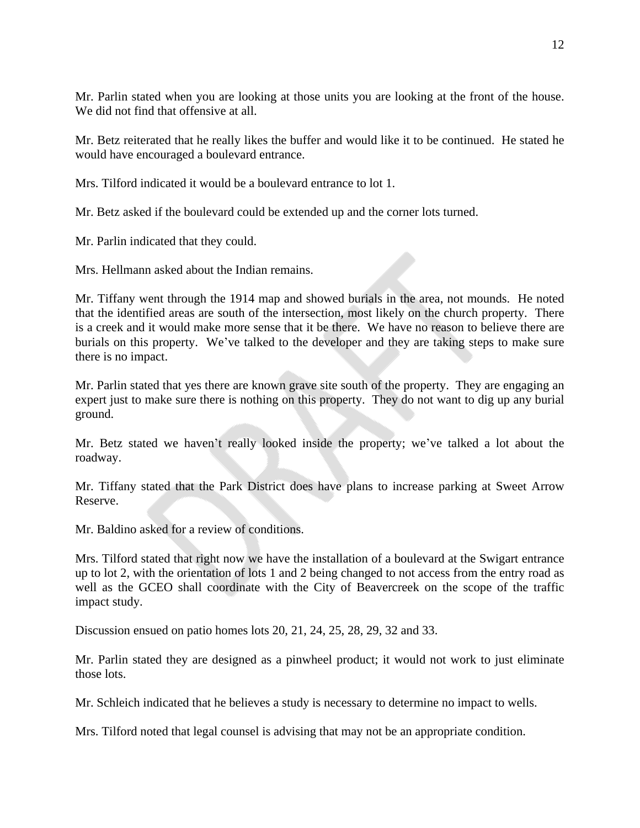Mr. Parlin stated when you are looking at those units you are looking at the front of the house. We did not find that offensive at all.

Mr. Betz reiterated that he really likes the buffer and would like it to be continued. He stated he would have encouraged a boulevard entrance.

Mrs. Tilford indicated it would be a boulevard entrance to lot 1.

Mr. Betz asked if the boulevard could be extended up and the corner lots turned.

Mr. Parlin indicated that they could.

Mrs. Hellmann asked about the Indian remains.

Mr. Tiffany went through the 1914 map and showed burials in the area, not mounds. He noted that the identified areas are south of the intersection, most likely on the church property. There is a creek and it would make more sense that it be there. We have no reason to believe there are burials on this property. We've talked to the developer and they are taking steps to make sure there is no impact.

Mr. Parlin stated that yes there are known grave site south of the property. They are engaging an expert just to make sure there is nothing on this property. They do not want to dig up any burial ground.

Mr. Betz stated we haven't really looked inside the property; we've talked a lot about the roadway.

Mr. Tiffany stated that the Park District does have plans to increase parking at Sweet Arrow Reserve.

Mr. Baldino asked for a review of conditions.

Mrs. Tilford stated that right now we have the installation of a boulevard at the Swigart entrance up to lot 2, with the orientation of lots 1 and 2 being changed to not access from the entry road as well as the GCEO shall coordinate with the City of Beavercreek on the scope of the traffic impact study.

Discussion ensued on patio homes lots 20, 21, 24, 25, 28, 29, 32 and 33.

Mr. Parlin stated they are designed as a pinwheel product; it would not work to just eliminate those lots.

Mr. Schleich indicated that he believes a study is necessary to determine no impact to wells.

Mrs. Tilford noted that legal counsel is advising that may not be an appropriate condition.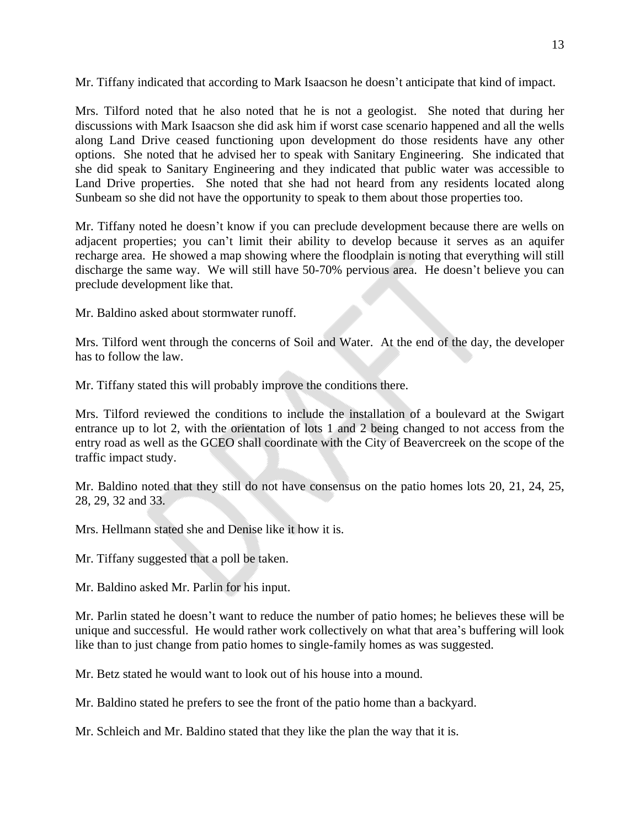Mr. Tiffany indicated that according to Mark Isaacson he doesn't anticipate that kind of impact.

Mrs. Tilford noted that he also noted that he is not a geologist. She noted that during her discussions with Mark Isaacson she did ask him if worst case scenario happened and all the wells along Land Drive ceased functioning upon development do those residents have any other options. She noted that he advised her to speak with Sanitary Engineering. She indicated that she did speak to Sanitary Engineering and they indicated that public water was accessible to Land Drive properties. She noted that she had not heard from any residents located along Sunbeam so she did not have the opportunity to speak to them about those properties too.

Mr. Tiffany noted he doesn't know if you can preclude development because there are wells on adjacent properties; you can't limit their ability to develop because it serves as an aquifer recharge area. He showed a map showing where the floodplain is noting that everything will still discharge the same way. We will still have 50-70% pervious area. He doesn't believe you can preclude development like that.

Mr. Baldino asked about stormwater runoff.

Mrs. Tilford went through the concerns of Soil and Water. At the end of the day, the developer has to follow the law.

Mr. Tiffany stated this will probably improve the conditions there.

Mrs. Tilford reviewed the conditions to include the installation of a boulevard at the Swigart entrance up to lot 2, with the orientation of lots 1 and 2 being changed to not access from the entry road as well as the GCEO shall coordinate with the City of Beavercreek on the scope of the traffic impact study.

Mr. Baldino noted that they still do not have consensus on the patio homes lots 20, 21, 24, 25, 28, 29, 32 and 33.

Mrs. Hellmann stated she and Denise like it how it is.

Mr. Tiffany suggested that a poll be taken.

Mr. Baldino asked Mr. Parlin for his input.

Mr. Parlin stated he doesn't want to reduce the number of patio homes; he believes these will be unique and successful. He would rather work collectively on what that area's buffering will look like than to just change from patio homes to single-family homes as was suggested.

Mr. Betz stated he would want to look out of his house into a mound.

Mr. Baldino stated he prefers to see the front of the patio home than a backyard.

Mr. Schleich and Mr. Baldino stated that they like the plan the way that it is.